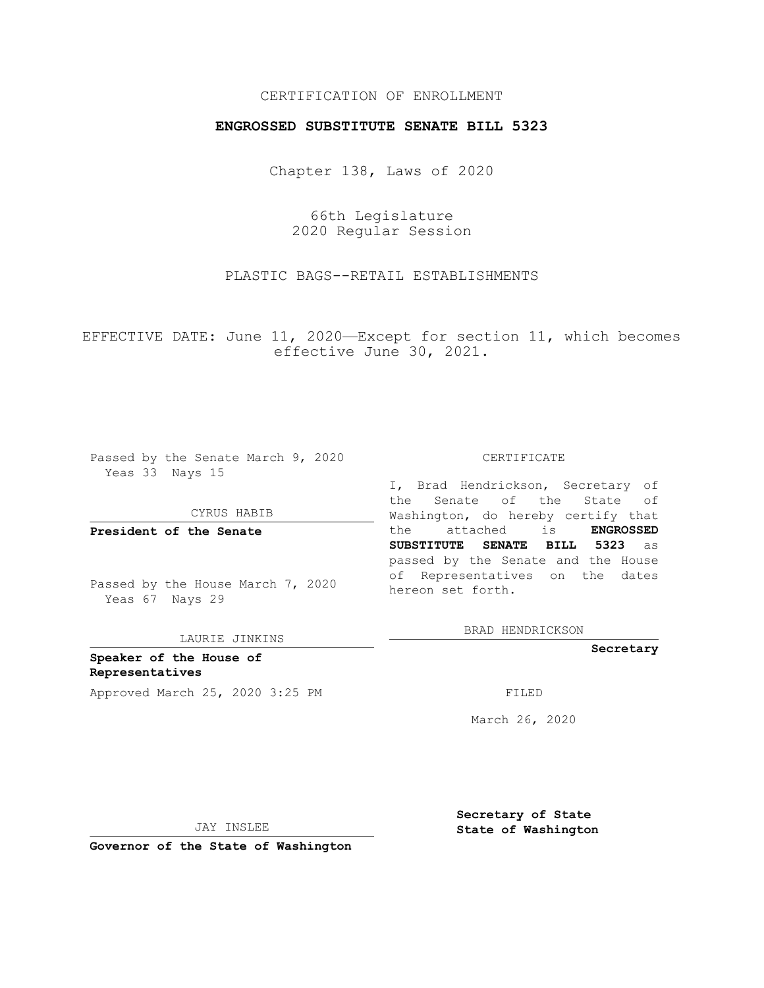## CERTIFICATION OF ENROLLMENT

## **ENGROSSED SUBSTITUTE SENATE BILL 5323**

Chapter 138, Laws of 2020

66th Legislature 2020 Regular Session

PLASTIC BAGS--RETAIL ESTABLISHMENTS

EFFECTIVE DATE: June 11, 2020—Except for section 11, which becomes effective June 30, 2021.

Passed by the Senate March 9, 2020 Yeas 33 Nays 15

CYRUS HABIB

**President of the Senate**

Passed by the House March 7, 2020 Yeas 67 Nays 29

LAURIE JINKINS

**Speaker of the House of Representatives** Approved March 25, 2020 3:25 PM FILED

#### CERTIFICATE

I, Brad Hendrickson, Secretary of the Senate of the State of Washington, do hereby certify that the attached is **ENGROSSED SUBSTITUTE SENATE BILL 5323** as passed by the Senate and the House of Representatives on the dates hereon set forth.

BRAD HENDRICKSON

**Secretary**

March 26, 2020

JAY INSLEE

**Secretary of State State of Washington**

**Governor of the State of Washington**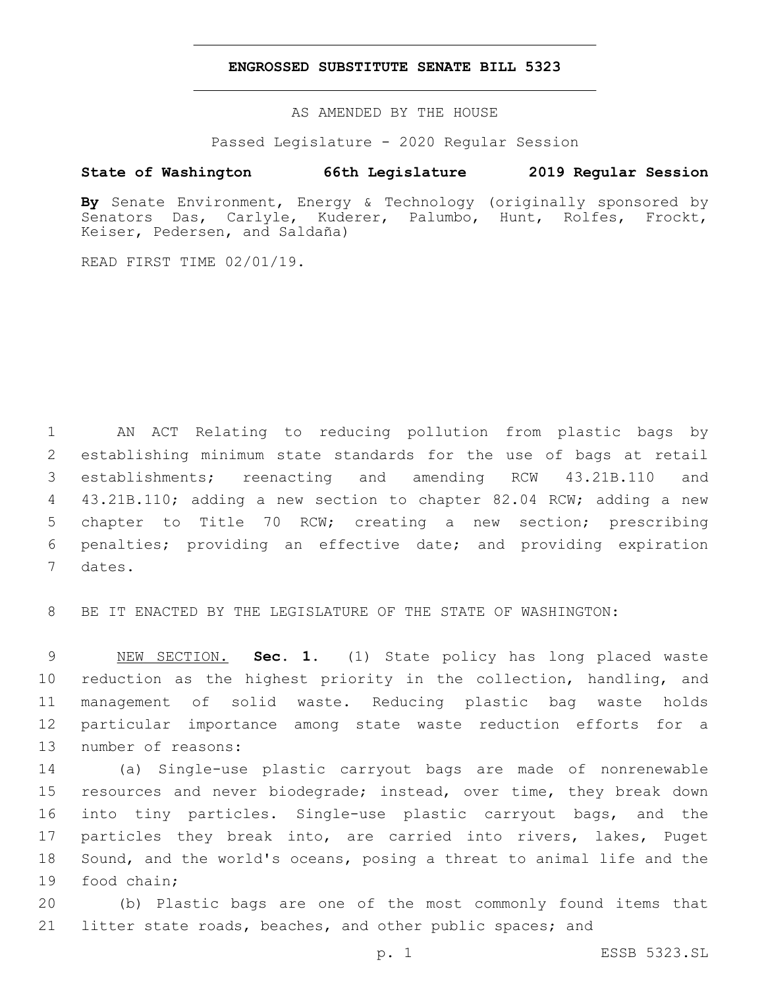### **ENGROSSED SUBSTITUTE SENATE BILL 5323**

AS AMENDED BY THE HOUSE

Passed Legislature - 2020 Regular Session

# **State of Washington 66th Legislature 2019 Regular Session**

**By** Senate Environment, Energy & Technology (originally sponsored by Senators Das, Carlyle, Kuderer, Palumbo, Hunt, Rolfes, Frockt, Keiser, Pedersen, and Saldaña)

READ FIRST TIME 02/01/19.

 AN ACT Relating to reducing pollution from plastic bags by establishing minimum state standards for the use of bags at retail establishments; reenacting and amending RCW 43.21B.110 and 43.21B.110; adding a new section to chapter 82.04 RCW; adding a new chapter to Title 70 RCW; creating a new section; prescribing penalties; providing an effective date; and providing expiration 7 dates.

8 BE IT ENACTED BY THE LEGISLATURE OF THE STATE OF WASHINGTON:

 NEW SECTION. **Sec. 1.** (1) State policy has long placed waste reduction as the highest priority in the collection, handling, and management of solid waste. Reducing plastic bag waste holds particular importance among state waste reduction efforts for a number of reasons:

 (a) Single-use plastic carryout bags are made of nonrenewable 15 resources and never biodegrade; instead, over time, they break down into tiny particles. Single-use plastic carryout bags, and the particles they break into, are carried into rivers, lakes, Puget Sound, and the world's oceans, posing a threat to animal life and the 19 food chain;

20 (b) Plastic bags are one of the most commonly found items that 21 litter state roads, beaches, and other public spaces; and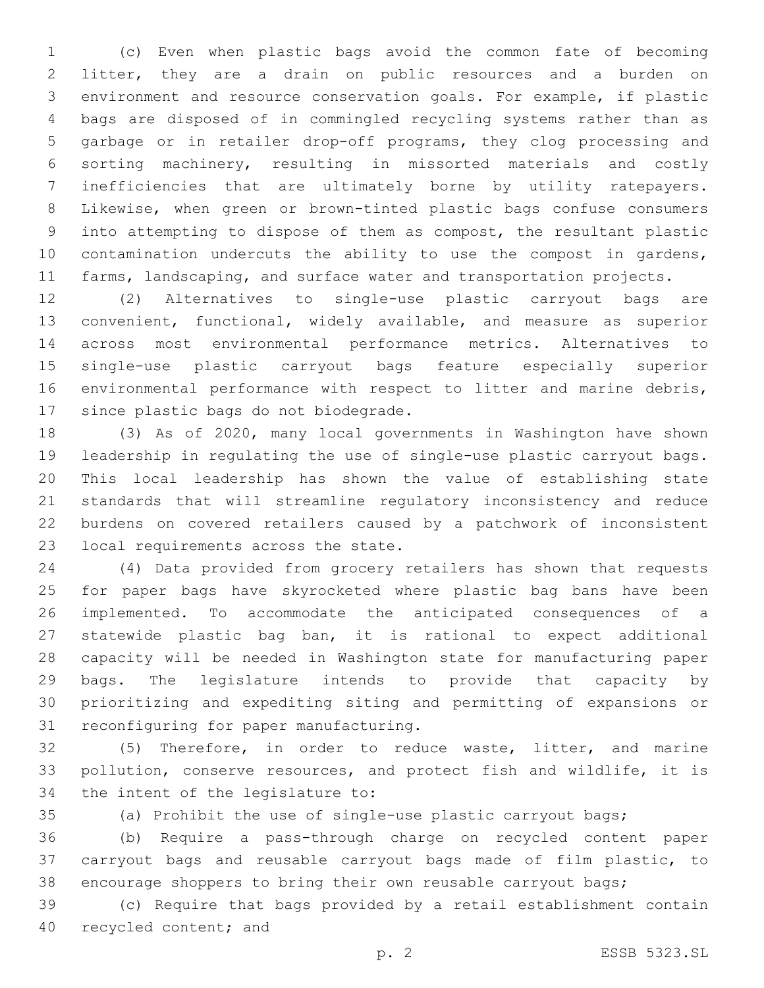(c) Even when plastic bags avoid the common fate of becoming litter, they are a drain on public resources and a burden on environment and resource conservation goals. For example, if plastic bags are disposed of in commingled recycling systems rather than as garbage or in retailer drop-off programs, they clog processing and sorting machinery, resulting in missorted materials and costly inefficiencies that are ultimately borne by utility ratepayers. Likewise, when green or brown-tinted plastic bags confuse consumers into attempting to dispose of them as compost, the resultant plastic 10 contamination undercuts the ability to use the compost in gardens, 11 farms, landscaping, and surface water and transportation projects.

 (2) Alternatives to single-use plastic carryout bags are convenient, functional, widely available, and measure as superior across most environmental performance metrics. Alternatives to single-use plastic carryout bags feature especially superior environmental performance with respect to litter and marine debris, 17 since plastic bags do not biodegrade.

 (3) As of 2020, many local governments in Washington have shown leadership in regulating the use of single-use plastic carryout bags. This local leadership has shown the value of establishing state standards that will streamline regulatory inconsistency and reduce burdens on covered retailers caused by a patchwork of inconsistent 23 local requirements across the state.

 (4) Data provided from grocery retailers has shown that requests for paper bags have skyrocketed where plastic bag bans have been implemented. To accommodate the anticipated consequences of a statewide plastic bag ban, it is rational to expect additional capacity will be needed in Washington state for manufacturing paper bags. The legislature intends to provide that capacity by prioritizing and expediting siting and permitting of expansions or 31 reconfiguring for paper manufacturing.

 (5) Therefore, in order to reduce waste, litter, and marine pollution, conserve resources, and protect fish and wildlife, it is 34 the intent of the legislature to:

(a) Prohibit the use of single-use plastic carryout bags;

 (b) Require a pass-through charge on recycled content paper carryout bags and reusable carryout bags made of film plastic, to encourage shoppers to bring their own reusable carryout bags;

 (c) Require that bags provided by a retail establishment contain 40 recycled content; and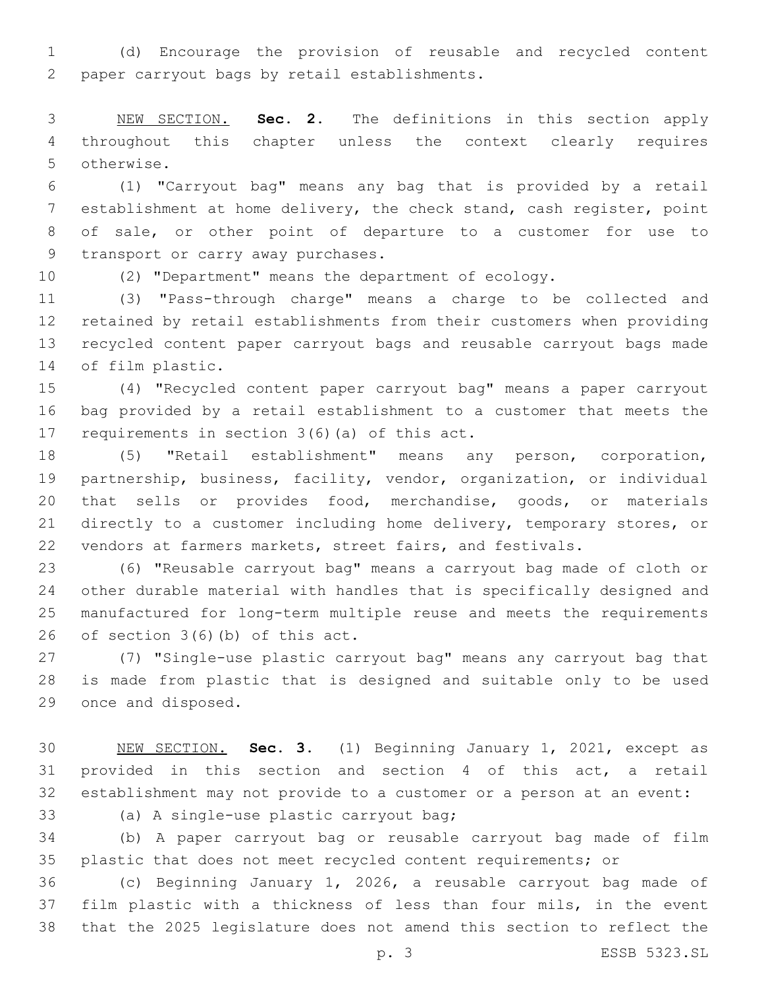(d) Encourage the provision of reusable and recycled content 2 paper carryout bags by retail establishments.

 NEW SECTION. **Sec. 2.** The definitions in this section apply throughout this chapter unless the context clearly requires otherwise.

 (1) "Carryout bag" means any bag that is provided by a retail establishment at home delivery, the check stand, cash register, point of sale, or other point of departure to a customer for use to 9 transport or carry away purchases.

(2) "Department" means the department of ecology.

 (3) "Pass-through charge" means a charge to be collected and retained by retail establishments from their customers when providing recycled content paper carryout bags and reusable carryout bags made 14 of film plastic.

 (4) "Recycled content paper carryout bag" means a paper carryout bag provided by a retail establishment to a customer that meets the 17 requirements in section  $3(6)$  (a) of this act.

 (5) "Retail establishment" means any person, corporation, partnership, business, facility, vendor, organization, or individual that sells or provides food, merchandise, goods, or materials directly to a customer including home delivery, temporary stores, or vendors at farmers markets, street fairs, and festivals.

 (6) "Reusable carryout bag" means a carryout bag made of cloth or other durable material with handles that is specifically designed and manufactured for long-term multiple reuse and meets the requirements 26 of section  $3(6)(b)$  of this act.

 (7) "Single-use plastic carryout bag" means any carryout bag that is made from plastic that is designed and suitable only to be used 29 once and disposed.

 NEW SECTION. **Sec. 3.** (1) Beginning January 1, 2021, except as provided in this section and section 4 of this act, a retail establishment may not provide to a customer or a person at an event:

(a) A single-use plastic carryout bag;33

 (b) A paper carryout bag or reusable carryout bag made of film plastic that does not meet recycled content requirements; or

 (c) Beginning January 1, 2026, a reusable carryout bag made of film plastic with a thickness of less than four mils, in the event that the 2025 legislature does not amend this section to reflect the

p. 3 ESSB 5323.SL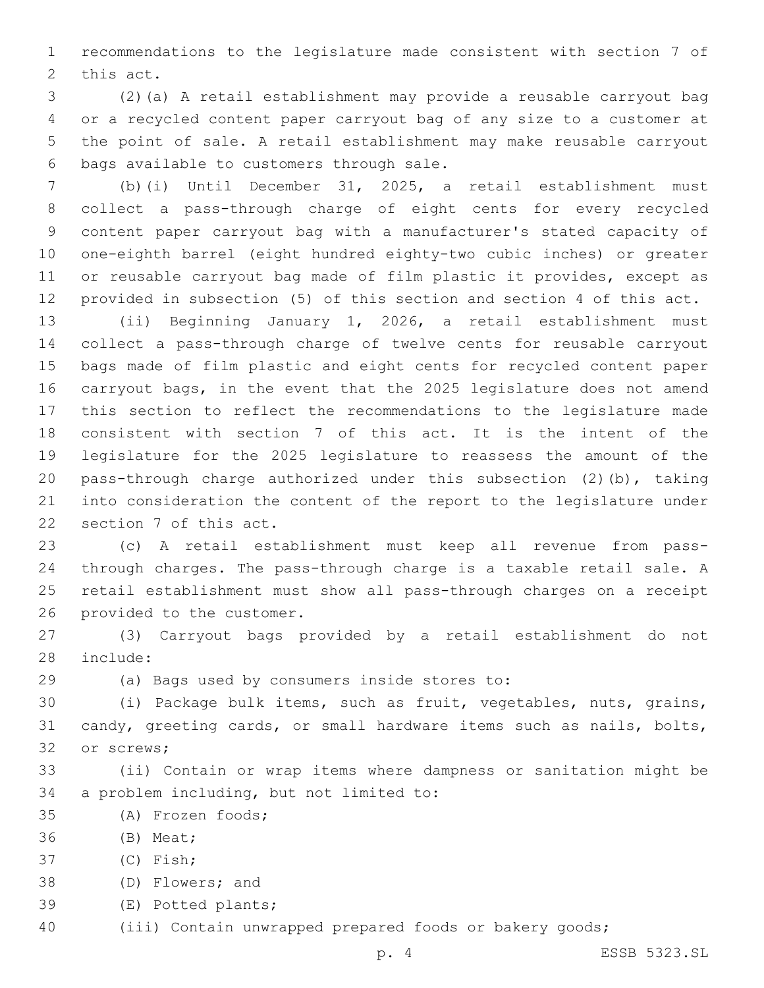recommendations to the legislature made consistent with section 7 of 2 this act.

 (2)(a) A retail establishment may provide a reusable carryout bag or a recycled content paper carryout bag of any size to a customer at the point of sale. A retail establishment may make reusable carryout 6 bags available to customers through sale.

 (b)(i) Until December 31, 2025, a retail establishment must collect a pass-through charge of eight cents for every recycled content paper carryout bag with a manufacturer's stated capacity of one-eighth barrel (eight hundred eighty-two cubic inches) or greater or reusable carryout bag made of film plastic it provides, except as provided in subsection (5) of this section and section 4 of this act.

 (ii) Beginning January 1, 2026, a retail establishment must collect a pass-through charge of twelve cents for reusable carryout bags made of film plastic and eight cents for recycled content paper carryout bags, in the event that the 2025 legislature does not amend this section to reflect the recommendations to the legislature made consistent with section 7 of this act. It is the intent of the legislature for the 2025 legislature to reassess the amount of the pass-through charge authorized under this subsection (2)(b), taking into consideration the content of the report to the legislature under 22 section 7 of this act.

 (c) A retail establishment must keep all revenue from pass- through charges. The pass-through charge is a taxable retail sale. A retail establishment must show all pass-through charges on a receipt 26 provided to the customer.

 (3) Carryout bags provided by a retail establishment do not 28 include:

(a) Bags used by consumers inside stores to:29

 (i) Package bulk items, such as fruit, vegetables, nuts, grains, candy, greeting cards, or small hardware items such as nails, bolts, 32 or screws;

 (ii) Contain or wrap items where dampness or sanitation might be 34 a problem including, but not limited to:

- (A) Frozen foods;35
- 36 (B) Meat;
- (C) Fish;37
- 38 (D) Flowers; and
- 39 (E) Potted plants;
- (iii) Contain unwrapped prepared foods or bakery goods;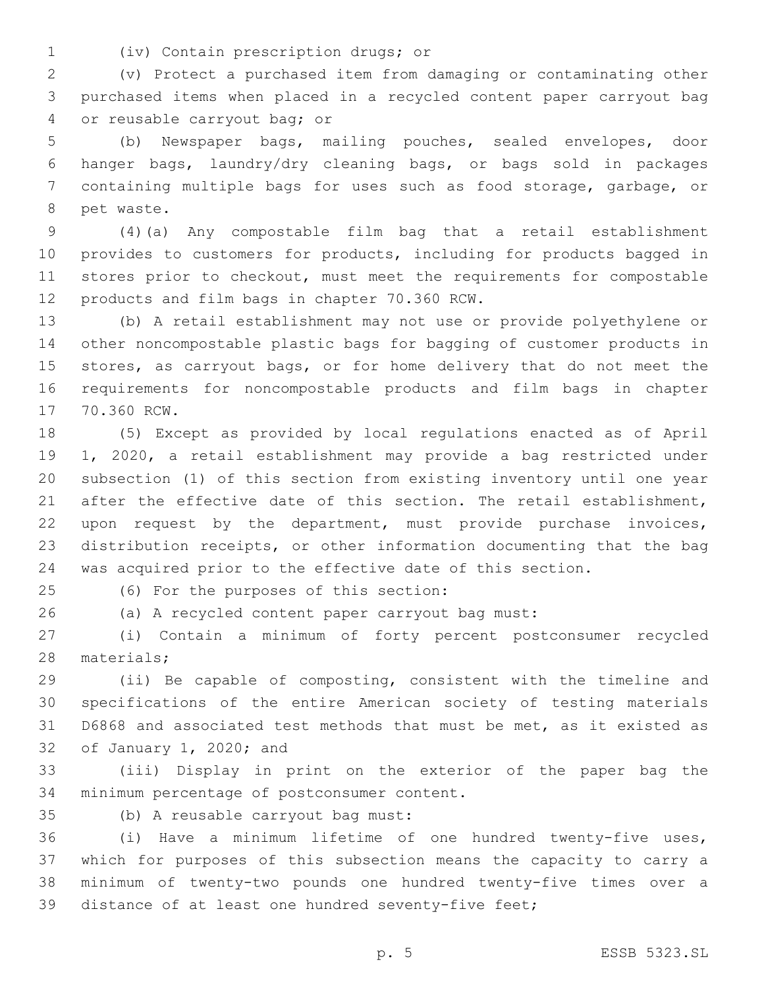(iv) Contain prescription drugs; or1

 (v) Protect a purchased item from damaging or contaminating other purchased items when placed in a recycled content paper carryout bag 4 or reusable carryout bag; or

 (b) Newspaper bags, mailing pouches, sealed envelopes, door hanger bags, laundry/dry cleaning bags, or bags sold in packages containing multiple bags for uses such as food storage, garbage, or 8 pet waste.

 (4)(a) Any compostable film bag that a retail establishment provides to customers for products, including for products bagged in stores prior to checkout, must meet the requirements for compostable 12 products and film bags in chapter 70.360 RCW.

 (b) A retail establishment may not use or provide polyethylene or other noncompostable plastic bags for bagging of customer products in stores, as carryout bags, or for home delivery that do not meet the requirements for noncompostable products and film bags in chapter 17 70.360 RCW.

 (5) Except as provided by local regulations enacted as of April 1, 2020, a retail establishment may provide a bag restricted under subsection (1) of this section from existing inventory until one year 21 after the effective date of this section. The retail establishment, upon request by the department, must provide purchase invoices, distribution receipts, or other information documenting that the bag was acquired prior to the effective date of this section.

(6) For the purposes of this section:25

(a) A recycled content paper carryout bag must:

 (i) Contain a minimum of forty percent postconsumer recycled 28 materials;

 (ii) Be capable of composting, consistent with the timeline and specifications of the entire American society of testing materials D6868 and associated test methods that must be met, as it existed as 32 of January 1, 2020; and

 (iii) Display in print on the exterior of the paper bag the 34 minimum percentage of postconsumer content.

35 (b) A reusable carryout bag must:

 (i) Have a minimum lifetime of one hundred twenty-five uses, which for purposes of this subsection means the capacity to carry a minimum of twenty-two pounds one hundred twenty-five times over a distance of at least one hundred seventy-five feet;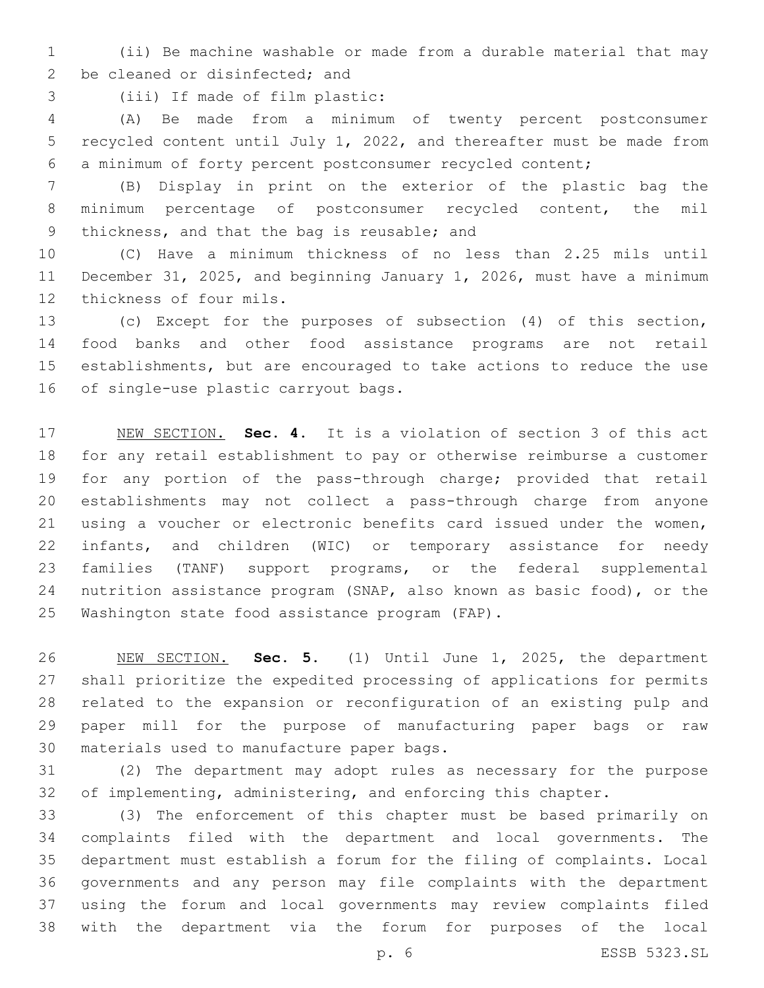(ii) Be machine washable or made from a durable material that may 2 be cleaned or disinfected; and

3 (iii) If made of film plastic:

 (A) Be made from a minimum of twenty percent postconsumer recycled content until July 1, 2022, and thereafter must be made from a minimum of forty percent postconsumer recycled content;

 (B) Display in print on the exterior of the plastic bag the minimum percentage of postconsumer recycled content, the mil 9 thickness, and that the bag is reusable; and

 (C) Have a minimum thickness of no less than 2.25 mils until December 31, 2025, and beginning January 1, 2026, must have a minimum 12 thickness of four mils.

 (c) Except for the purposes of subsection (4) of this section, food banks and other food assistance programs are not retail establishments, but are encouraged to take actions to reduce the use 16 of single-use plastic carryout bags.

 NEW SECTION. **Sec. 4.** It is a violation of section 3 of this act for any retail establishment to pay or otherwise reimburse a customer for any portion of the pass-through charge; provided that retail establishments may not collect a pass-through charge from anyone using a voucher or electronic benefits card issued under the women, infants, and children (WIC) or temporary assistance for needy families (TANF) support programs, or the federal supplemental nutrition assistance program (SNAP, also known as basic food), or the Washington state food assistance program (FAP).

 NEW SECTION. **Sec. 5.** (1) Until June 1, 2025, the department shall prioritize the expedited processing of applications for permits related to the expansion or reconfiguration of an existing pulp and paper mill for the purpose of manufacturing paper bags or raw materials used to manufacture paper bags.

 (2) The department may adopt rules as necessary for the purpose of implementing, administering, and enforcing this chapter.

 (3) The enforcement of this chapter must be based primarily on complaints filed with the department and local governments. The department must establish a forum for the filing of complaints. Local governments and any person may file complaints with the department using the forum and local governments may review complaints filed with the department via the forum for purposes of the local

p. 6 ESSB 5323.SL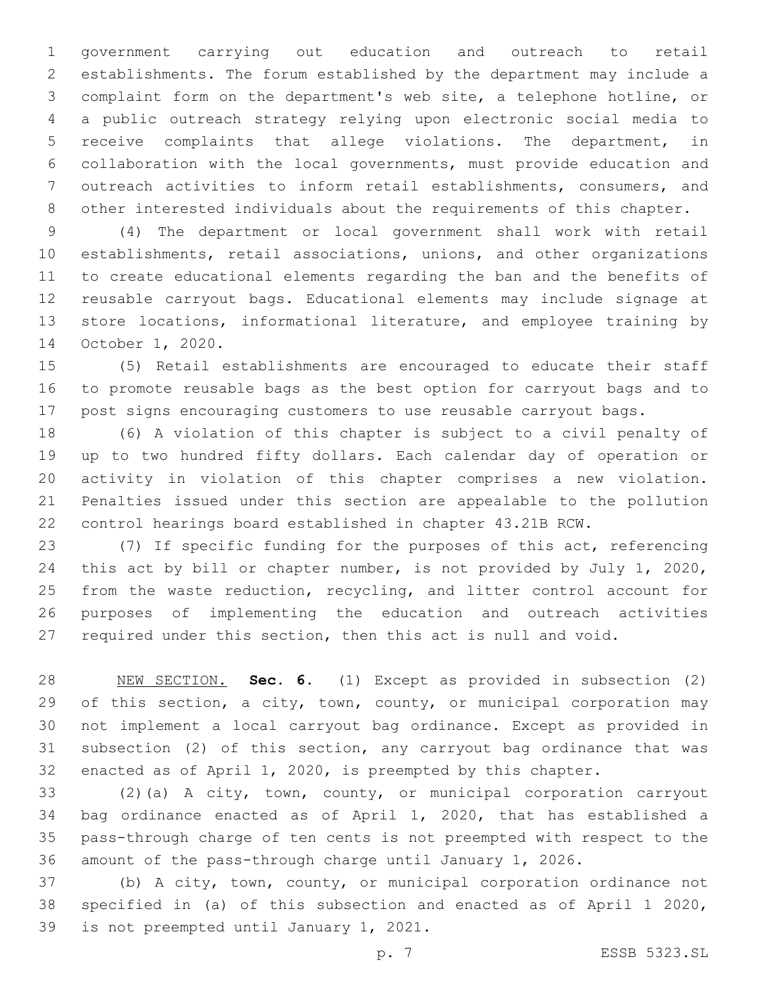government carrying out education and outreach to retail establishments. The forum established by the department may include a complaint form on the department's web site, a telephone hotline, or a public outreach strategy relying upon electronic social media to receive complaints that allege violations. The department, in collaboration with the local governments, must provide education and outreach activities to inform retail establishments, consumers, and other interested individuals about the requirements of this chapter.

 (4) The department or local government shall work with retail establishments, retail associations, unions, and other organizations to create educational elements regarding the ban and the benefits of reusable carryout bags. Educational elements may include signage at store locations, informational literature, and employee training by 14 October 1, 2020.

 (5) Retail establishments are encouraged to educate their staff to promote reusable bags as the best option for carryout bags and to post signs encouraging customers to use reusable carryout bags.

 (6) A violation of this chapter is subject to a civil penalty of up to two hundred fifty dollars. Each calendar day of operation or activity in violation of this chapter comprises a new violation. Penalties issued under this section are appealable to the pollution control hearings board established in chapter 43.21B RCW.

 (7) If specific funding for the purposes of this act, referencing this act by bill or chapter number, is not provided by July 1, 2020, from the waste reduction, recycling, and litter control account for purposes of implementing the education and outreach activities required under this section, then this act is null and void.

 NEW SECTION. **Sec. 6.** (1) Except as provided in subsection (2) 29 of this section, a city, town, county, or municipal corporation may not implement a local carryout bag ordinance. Except as provided in subsection (2) of this section, any carryout bag ordinance that was enacted as of April 1, 2020, is preempted by this chapter.

 (2)(a) A city, town, county, or municipal corporation carryout bag ordinance enacted as of April 1, 2020, that has established a pass-through charge of ten cents is not preempted with respect to the amount of the pass-through charge until January 1, 2026.

 (b) A city, town, county, or municipal corporation ordinance not specified in (a) of this subsection and enacted as of April 1 2020, 39 is not preempted until January 1, 2021.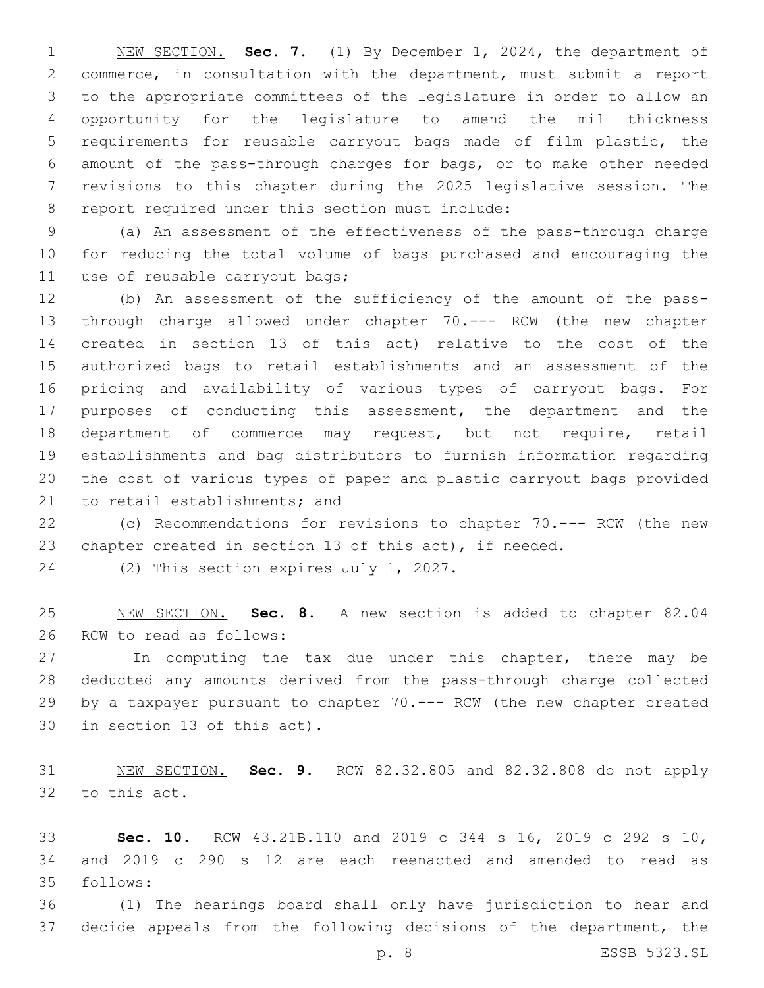NEW SECTION. **Sec. 7.** (1) By December 1, 2024, the department of commerce, in consultation with the department, must submit a report to the appropriate committees of the legislature in order to allow an opportunity for the legislature to amend the mil thickness requirements for reusable carryout bags made of film plastic, the amount of the pass-through charges for bags, or to make other needed revisions to this chapter during the 2025 legislative session. The report required under this section must include:

 (a) An assessment of the effectiveness of the pass-through charge for reducing the total volume of bags purchased and encouraging the 11 use of reusable carryout bags;

 (b) An assessment of the sufficiency of the amount of the pass- through charge allowed under chapter 70.--- RCW (the new chapter created in section 13 of this act) relative to the cost of the authorized bags to retail establishments and an assessment of the pricing and availability of various types of carryout bags. For purposes of conducting this assessment, the department and the department of commerce may request, but not require, retail establishments and bag distributors to furnish information regarding the cost of various types of paper and plastic carryout bags provided 21 to retail establishments; and

 (c) Recommendations for revisions to chapter 70.--- RCW (the new chapter created in section 13 of this act), if needed.

24 (2) This section expires July 1, 2027.

 NEW SECTION. **Sec. 8.** A new section is added to chapter 82.04 26 RCW to read as follows:

27 In computing the tax due under this chapter, there may be deducted any amounts derived from the pass-through charge collected by a taxpayer pursuant to chapter 70.--- RCW (the new chapter created 30 in section 13 of this act).

 NEW SECTION. **Sec. 9.** RCW 82.32.805 and 82.32.808 do not apply to this act.

 **Sec. 10.** RCW 43.21B.110 and 2019 c 344 s 16, 2019 c 292 s 10, and 2019 c 290 s 12 are each reenacted and amended to read as follows:35

 (1) The hearings board shall only have jurisdiction to hear and decide appeals from the following decisions of the department, the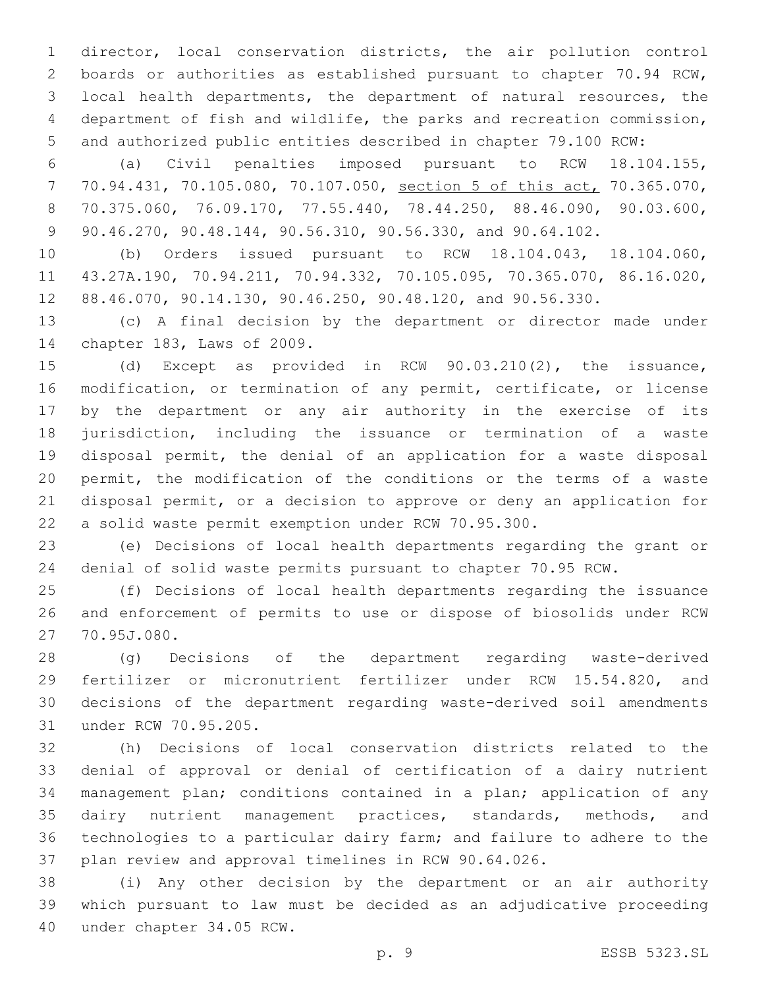director, local conservation districts, the air pollution control boards or authorities as established pursuant to chapter 70.94 RCW, local health departments, the department of natural resources, the department of fish and wildlife, the parks and recreation commission, and authorized public entities described in chapter 79.100 RCW:

 (a) Civil penalties imposed pursuant to RCW 18.104.155, 70.94.431, 70.105.080, 70.107.050, section 5 of this act, 70.365.070, 70.375.060, 76.09.170, 77.55.440, 78.44.250, 88.46.090, 90.03.600, 90.46.270, 90.48.144, 90.56.310, 90.56.330, and 90.64.102.

 (b) Orders issued pursuant to RCW 18.104.043, 18.104.060, 43.27A.190, 70.94.211, 70.94.332, 70.105.095, 70.365.070, 86.16.020, 88.46.070, 90.14.130, 90.46.250, 90.48.120, and 90.56.330.

 (c) A final decision by the department or director made under 14 chapter 183, Laws of 2009.

 (d) Except as provided in RCW 90.03.210(2), the issuance, modification, or termination of any permit, certificate, or license by the department or any air authority in the exercise of its jurisdiction, including the issuance or termination of a waste disposal permit, the denial of an application for a waste disposal permit, the modification of the conditions or the terms of a waste disposal permit, or a decision to approve or deny an application for a solid waste permit exemption under RCW 70.95.300.

 (e) Decisions of local health departments regarding the grant or denial of solid waste permits pursuant to chapter 70.95 RCW.

 (f) Decisions of local health departments regarding the issuance and enforcement of permits to use or dispose of biosolids under RCW 70.95J.080.27

 (g) Decisions of the department regarding waste-derived fertilizer or micronutrient fertilizer under RCW 15.54.820, and decisions of the department regarding waste-derived soil amendments 31 under RCW 70.95.205.

 (h) Decisions of local conservation districts related to the denial of approval or denial of certification of a dairy nutrient management plan; conditions contained in a plan; application of any dairy nutrient management practices, standards, methods, and technologies to a particular dairy farm; and failure to adhere to the plan review and approval timelines in RCW 90.64.026.

 (i) Any other decision by the department or an air authority which pursuant to law must be decided as an adjudicative proceeding 40 under chapter 34.05 RCW.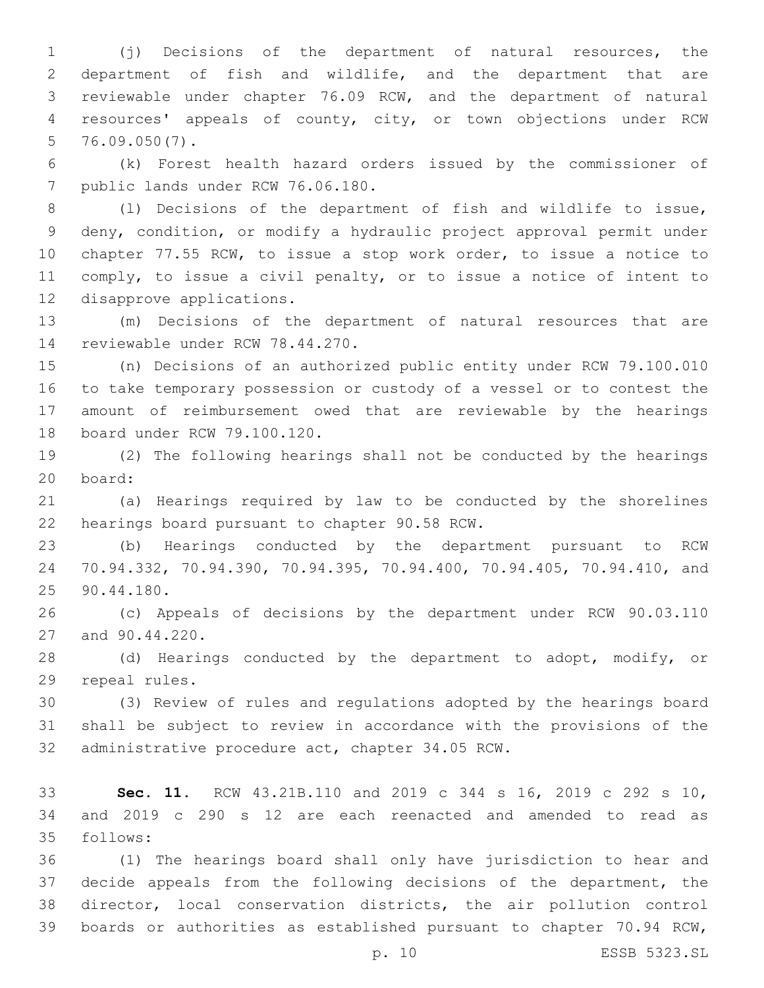(j) Decisions of the department of natural resources, the department of fish and wildlife, and the department that are reviewable under chapter 76.09 RCW, and the department of natural resources' appeals of county, city, or town objections under RCW 76.09.050(7).

 (k) Forest health hazard orders issued by the commissioner of 7 public lands under RCW 76.06.180.

 (l) Decisions of the department of fish and wildlife to issue, deny, condition, or modify a hydraulic project approval permit under chapter 77.55 RCW, to issue a stop work order, to issue a notice to comply, to issue a civil penalty, or to issue a notice of intent to 12 disapprove applications.

 (m) Decisions of the department of natural resources that are 14 reviewable under RCW 78.44.270.

 (n) Decisions of an authorized public entity under RCW 79.100.010 to take temporary possession or custody of a vessel or to contest the amount of reimbursement owed that are reviewable by the hearings 18 board under RCW 79.100.120.

 (2) The following hearings shall not be conducted by the hearings board:20

 (a) Hearings required by law to be conducted by the shorelines 22 hearings board pursuant to chapter 90.58 RCW.

 (b) Hearings conducted by the department pursuant to RCW 70.94.332, 70.94.390, 70.94.395, 70.94.400, 70.94.405, 70.94.410, and 25 90.44.180.

 (c) Appeals of decisions by the department under RCW 90.03.110 27 and 90.44.220.

 (d) Hearings conducted by the department to adopt, modify, or 29 repeal rules.

 (3) Review of rules and regulations adopted by the hearings board shall be subject to review in accordance with the provisions of the 32 administrative procedure act, chapter 34.05 RCW.

 **Sec. 11.** RCW 43.21B.110 and 2019 c 344 s 16, 2019 c 292 s 10, and 2019 c 290 s 12 are each reenacted and amended to read as follows:35

 (1) The hearings board shall only have jurisdiction to hear and decide appeals from the following decisions of the department, the director, local conservation districts, the air pollution control boards or authorities as established pursuant to chapter 70.94 RCW,

p. 10 ESSB 5323.SL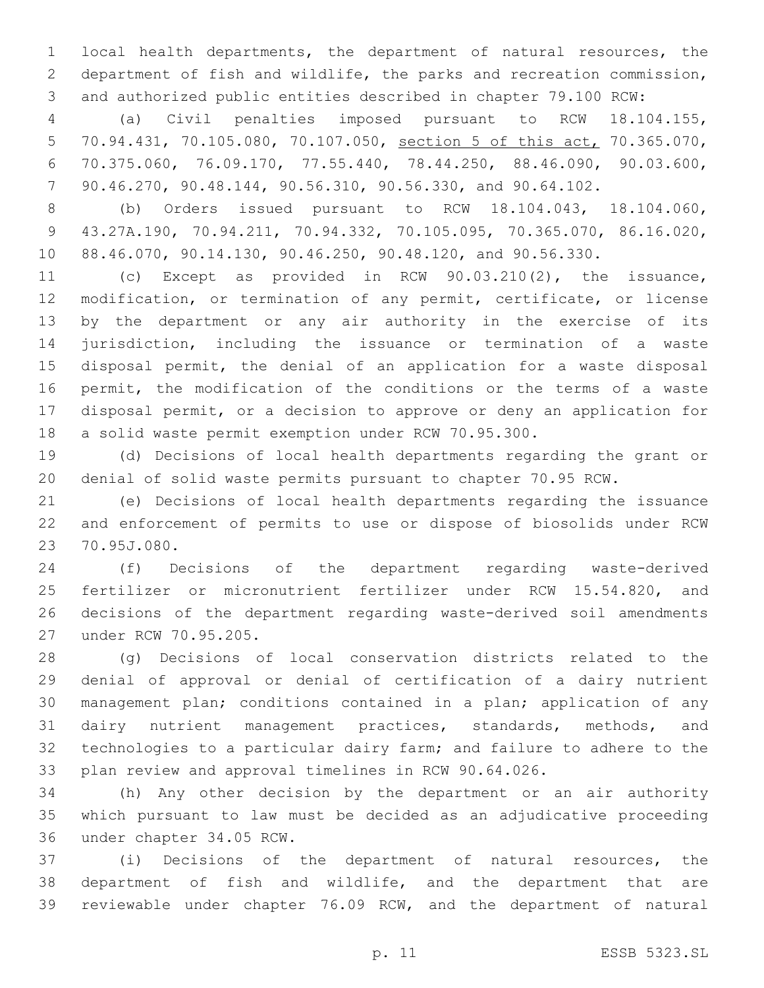local health departments, the department of natural resources, the department of fish and wildlife, the parks and recreation commission, and authorized public entities described in chapter 79.100 RCW:

 (a) Civil penalties imposed pursuant to RCW 18.104.155, 70.94.431, 70.105.080, 70.107.050, section 5 of this act, 70.365.070, 70.375.060, 76.09.170, 77.55.440, 78.44.250, 88.46.090, 90.03.600, 90.46.270, 90.48.144, 90.56.310, 90.56.330, and 90.64.102.

 (b) Orders issued pursuant to RCW 18.104.043, 18.104.060, 43.27A.190, 70.94.211, 70.94.332, 70.105.095, 70.365.070, 86.16.020, 88.46.070, 90.14.130, 90.46.250, 90.48.120, and 90.56.330.

 (c) Except as provided in RCW 90.03.210(2), the issuance, modification, or termination of any permit, certificate, or license by the department or any air authority in the exercise of its jurisdiction, including the issuance or termination of a waste disposal permit, the denial of an application for a waste disposal permit, the modification of the conditions or the terms of a waste disposal permit, or a decision to approve or deny an application for a solid waste permit exemption under RCW 70.95.300.

 (d) Decisions of local health departments regarding the grant or denial of solid waste permits pursuant to chapter 70.95 RCW.

 (e) Decisions of local health departments regarding the issuance and enforcement of permits to use or dispose of biosolids under RCW 23 70.95J.080.

 (f) Decisions of the department regarding waste-derived fertilizer or micronutrient fertilizer under RCW 15.54.820, and decisions of the department regarding waste-derived soil amendments 27 under RCW 70.95.205.

 (g) Decisions of local conservation districts related to the denial of approval or denial of certification of a dairy nutrient management plan; conditions contained in a plan; application of any dairy nutrient management practices, standards, methods, and technologies to a particular dairy farm; and failure to adhere to the plan review and approval timelines in RCW 90.64.026.

 (h) Any other decision by the department or an air authority which pursuant to law must be decided as an adjudicative proceeding 36 under chapter 34.05 RCW.

 (i) Decisions of the department of natural resources, the department of fish and wildlife, and the department that are reviewable under chapter 76.09 RCW, and the department of natural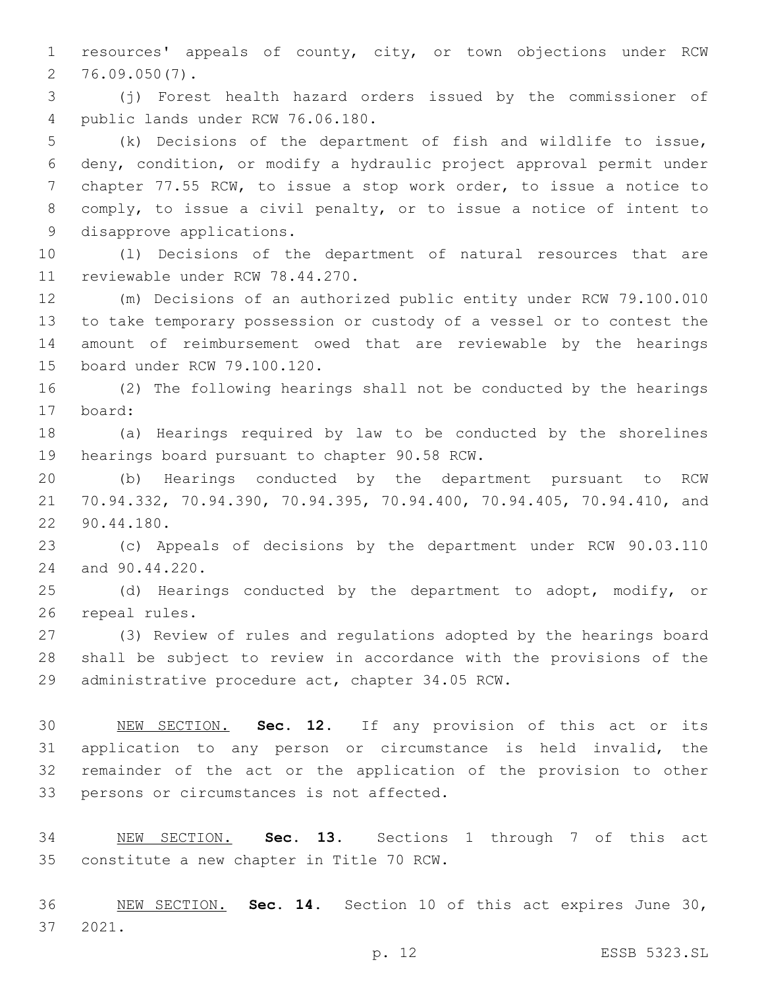resources' appeals of county, city, or town objections under RCW  $2, 76.09.050(7)$ .

 (j) Forest health hazard orders issued by the commissioner of 4 public lands under RCW 76.06.180.

 (k) Decisions of the department of fish and wildlife to issue, deny, condition, or modify a hydraulic project approval permit under chapter 77.55 RCW, to issue a stop work order, to issue a notice to comply, to issue a civil penalty, or to issue a notice of intent to 9 disapprove applications.

 (l) Decisions of the department of natural resources that are 11 reviewable under RCW 78.44.270.

 (m) Decisions of an authorized public entity under RCW 79.100.010 to take temporary possession or custody of a vessel or to contest the amount of reimbursement owed that are reviewable by the hearings 15 board under RCW 79.100.120.

 (2) The following hearings shall not be conducted by the hearings 17 board:

 (a) Hearings required by law to be conducted by the shorelines 19 hearings board pursuant to chapter 90.58 RCW.

 (b) Hearings conducted by the department pursuant to RCW 70.94.332, 70.94.390, 70.94.395, 70.94.400, 70.94.405, 70.94.410, and 90.44.180.22

 (c) Appeals of decisions by the department under RCW 90.03.110 24 and 90.44.220.

 (d) Hearings conducted by the department to adopt, modify, or 26 repeal rules.

 (3) Review of rules and regulations adopted by the hearings board shall be subject to review in accordance with the provisions of the 29 administrative procedure act, chapter 34.05 RCW.

 NEW SECTION. **Sec. 12.** If any provision of this act or its application to any person or circumstance is held invalid, the remainder of the act or the application of the provision to other persons or circumstances is not affected.

 NEW SECTION. **Sec. 13.** Sections 1 through 7 of this act constitute a new chapter in Title 70 RCW.

 NEW SECTION. **Sec. 14.** Section 10 of this act expires June 30, 2021.